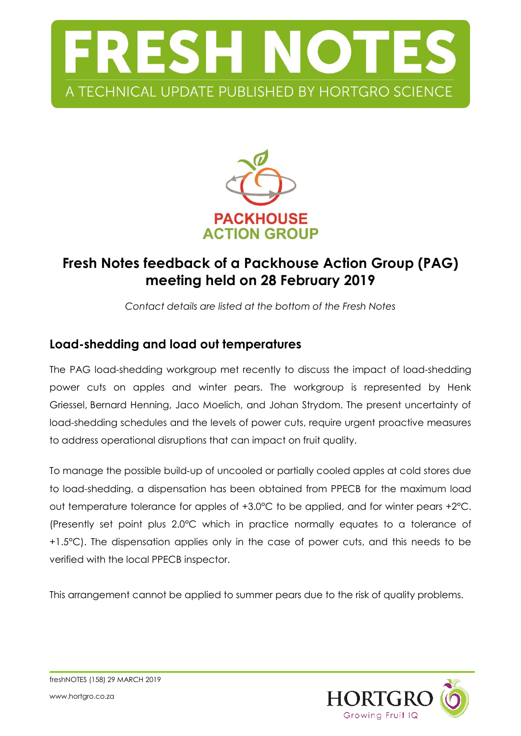



## **Fresh Notes feedback of a Packhouse Action Group (PAG) meeting held on 28 February 2019**

*Contact details are listed at the bottom of the Fresh Notes*

## **Load-shedding and load out temperatures**

The PAG load-shedding workgroup met recently to discuss the impact of load-shedding power cuts on apples and winter pears. The workgroup is represented by Henk Griessel, Bernard Henning, Jaco Moelich, and Johan Strydom. The present uncertainty of load-shedding schedules and the levels of power cuts, require urgent proactive measures to address operational disruptions that can impact on fruit quality.

To manage the possible build‐up of uncooled or partially cooled apples at cold stores due to load-shedding, a dispensation has been obtained from PPECB for the maximum load out temperature tolerance for apples of +3.0°C to be applied, and for winter pears +2°C. (Presently set point plus 2.0°C which in practice normally equates to a tolerance of +1.5°C). The dispensation applies only in the case of power cuts, and this needs to be verified with the local PPECB inspector.

This arrangement cannot be applied to summer pears due to the risk of quality problems.

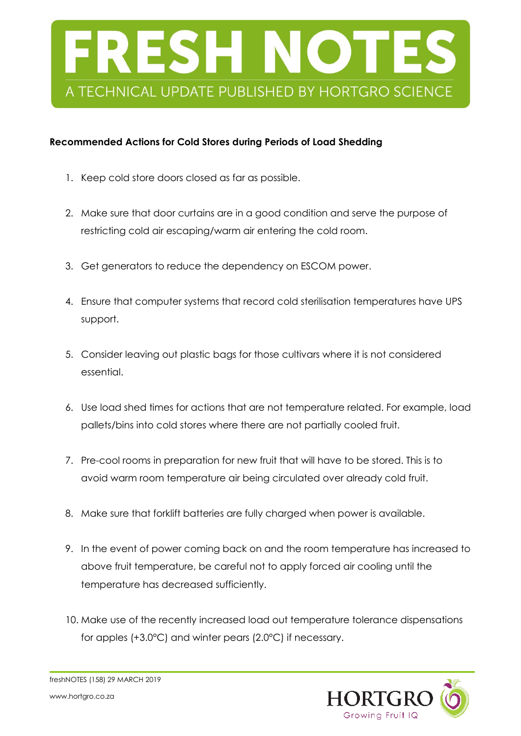

#### **Recommended Actions for Cold Stores during Periods of Load Shedding**

- 1. Keep cold store doors closed as far as possible.
- 2. Make sure that door curtains are in a good condition and serve the purpose of restricting cold air escaping/warm air entering the cold room.
- 3. Get generators to reduce the dependency on ESCOM power.
- 4. Ensure that computer systems that record cold sterilisation temperatures have UPS support.
- 5. Consider leaving out plastic bags for those cultivars where it is not considered essential.
- 6. Use load shed times for actions that are not temperature related. For example, load pallets/bins into cold stores where there are not partially cooled fruit.
- 7. Pre-cool rooms in preparation for new fruit that will have to be stored. This is to avoid warm room temperature air being circulated over already cold fruit.
- 8. Make sure that forklift batteries are fully charged when power is available.
- 9. In the event of power coming back on and the room temperature has increased to above fruit temperature, be careful not to apply forced air cooling until the temperature has decreased sufficiently.
- 10. Make use of the recently increased load out temperature tolerance dispensations for apples (+3.0°C) and winter pears (2.0°C) if necessary.

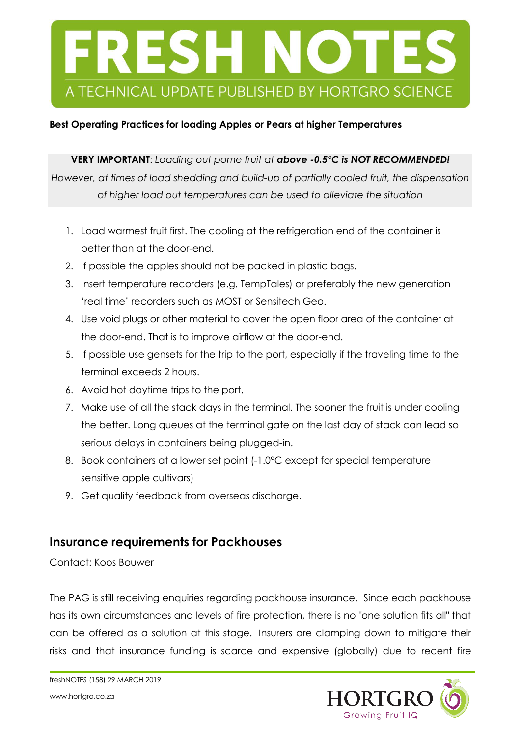# FRESH NOT A TECHNICAL UPDATE PUBLISHED BY HORTGRO SCIENCE

#### **Best Operating Practices for loading Apples or Pears at higher Temperatures**

**VERY IMPORTANT**: *Loading out pome fruit at above -0.5°C is NOT RECOMMENDED! However, at times of load shedding and build-up of partially cooled fruit, the dispensation* 

*of higher load out temperatures can be used to alleviate the situation*

- 1. Load warmest fruit first. The cooling at the refrigeration end of the container is better than at the door-end.
- 2. If possible the apples should not be packed in plastic bags.
- 3. Insert temperature recorders (e.g. TempTales) or preferably the new generation 'real time' recorders such as MOST or Sensitech Geo.
- 4. Use void plugs or other material to cover the open floor area of the container at the door-end. That is to improve airflow at the door-end.
- 5. If possible use gensets for the trip to the port, especially if the traveling time to the terminal exceeds 2 hours.
- 6. Avoid hot daytime trips to the port.
- 7. Make use of all the stack days in the terminal. The sooner the fruit is under cooling the better. Long queues at the terminal gate on the last day of stack can lead so serious delays in containers being plugged-in.
- 8. Book containers at a lower set point (-1.0°C except for special temperature sensitive apple cultivars)
- 9. Get quality feedback from overseas discharge.

## **Insurance requirements for Packhouses**

Contact: Koos Bouwer

The PAG is still receiving enquiries regarding packhouse insurance. Since each packhouse has its own circumstances and levels of fire protection, there is no "one solution fits all" that can be offered as a solution at this stage. Insurers are clamping down to mitigate their risks and that insurance funding is scarce and expensive (globally) due to recent fire

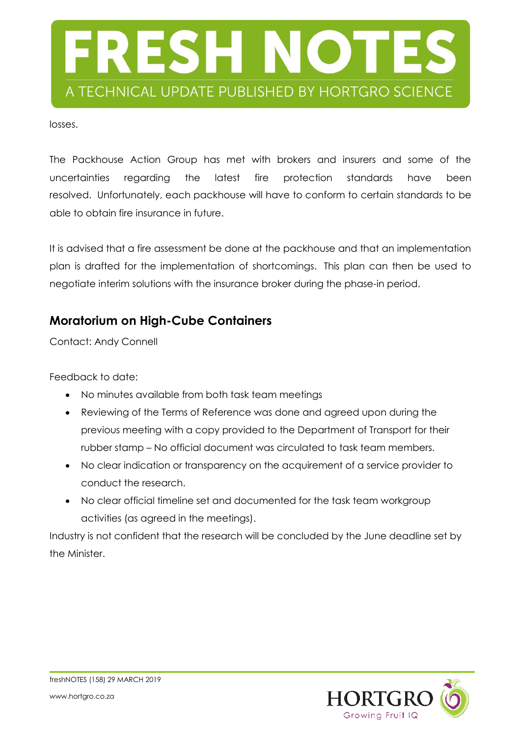

losses.

The Packhouse Action Group has met with brokers and insurers and some of the uncertainties regarding the latest fire protection standards have been resolved. Unfortunately, each packhouse will have to conform to certain standards to be able to obtain fire insurance in future.

It is advised that a fire assessment be done at the packhouse and that an implementation plan is drafted for the implementation of shortcomings. This plan can then be used to negotiate interim solutions with the insurance broker during the phase-in period.

## **Moratorium on High-Cube Containers**

Contact: Andy Connell

Feedback to date:

- No minutes available from both task team meetings
- Reviewing of the Terms of Reference was done and agreed upon during the previous meeting with a copy provided to the Department of Transport for their rubber stamp – No official document was circulated to task team members.
- No clear indication or transparency on the acquirement of a service provider to conduct the research.
- No clear official timeline set and documented for the task team workgroup activities (as agreed in the meetings).

Industry is not confident that the research will be concluded by the June deadline set by the Minister.

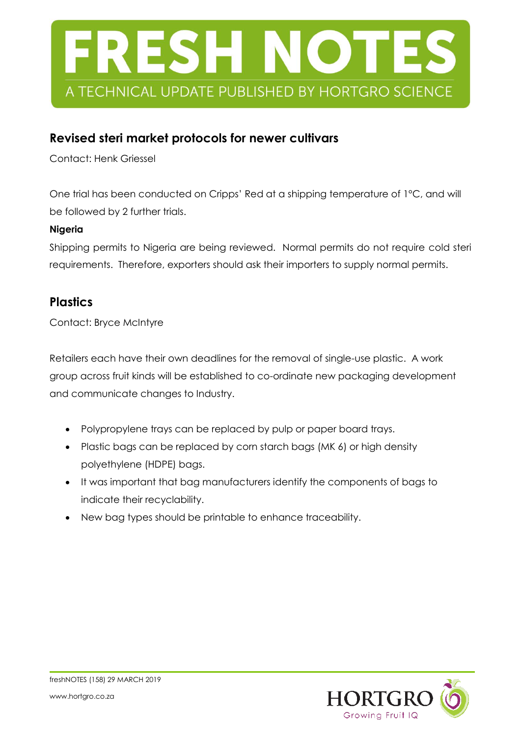

### **Revised steri market protocols for newer cultivars**

Contact: Henk Griessel

One trial has been conducted on Cripps' Red at a shipping temperature of 1°C, and will be followed by 2 further trials.

#### **Nigeria**

Shipping permits to Nigeria are being reviewed. Normal permits do not require cold steri requirements. Therefore, exporters should ask their importers to supply normal permits.

#### **Plastics**

Contact: Bryce McIntyre

Retailers each have their own deadlines for the removal of single-use plastic. A work group across fruit kinds will be established to co-ordinate new packaging development and communicate changes to Industry.

- Polypropylene trays can be replaced by pulp or paper board trays.
- Plastic bags can be replaced by corn starch bags (MK 6) or high density polyethylene (HDPE) bags.
- It was important that bag manufacturers identify the components of bags to indicate their recyclability.
- New bag types should be printable to enhance traceability.

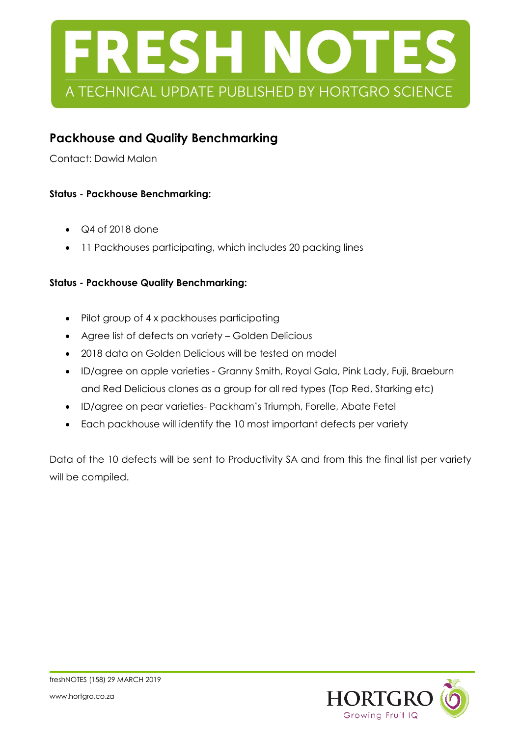

## **Packhouse and Quality Benchmarking**

Contact: Dawid Malan

#### **Status - Packhouse Benchmarking:**

- $\bullet$  Q4 of 2018 done
- 11 Packhouses participating, which includes 20 packing lines

#### **Status - Packhouse Quality Benchmarking:**

- Pilot group of 4 x packhouses participating
- Agree list of defects on variety Golden Delicious
- 2018 data on Golden Delicious will be tested on model
- ID/agree on apple varieties Granny Smith, Royal Gala, Pink Lady, Fuji, Braeburn and Red Delicious clones as a group for all red types (Top Red, Starking etc)
- ID/agree on pear varieties- Packham's Triumph, Forelle, Abate Fetel
- Each packhouse will identify the 10 most important defects per variety

Data of the 10 defects will be sent to Productivity SA and from this the final list per variety will be compiled.